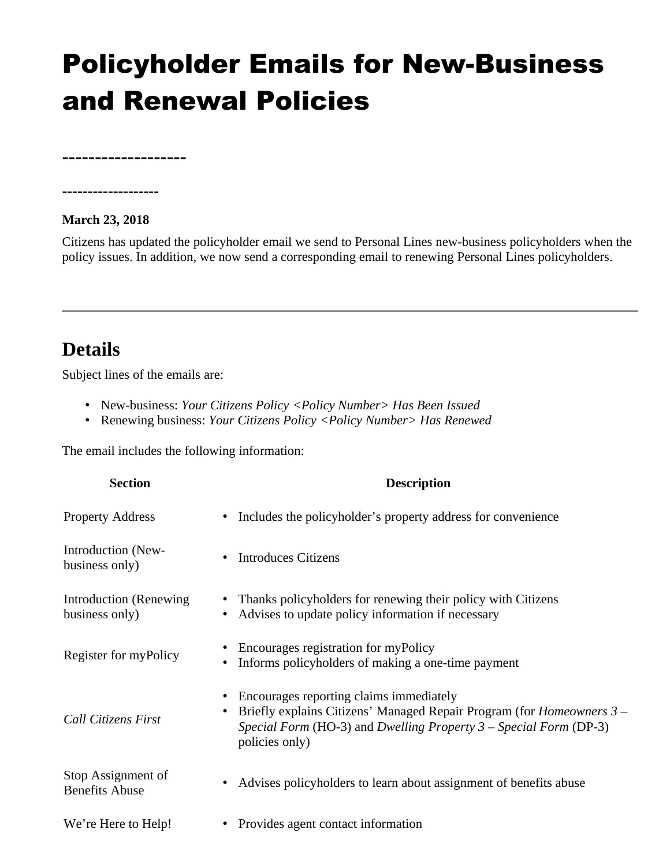# Policyholder Emails for New-Business and Renewal Policies

**-------------------**

# **March 23, 2018**

**-------------------**

Citizens has updated the policyholder email we send to Personal Lines new-business policyholders when the policy issues. In addition, we now send a corresponding email to renewing Personal Lines policyholders.

# **Details**

Subject lines of the emails are:

- New-business: *Your Citizens Policy <Policy Number> Has Been Issued*
- Renewing business: *Your Citizens Policy <Policy Number> Has Renewed*

The email includes the following information:

| <b>Section</b>                                  | <b>Description</b>                                                                                                                                                                                                        |
|-------------------------------------------------|---------------------------------------------------------------------------------------------------------------------------------------------------------------------------------------------------------------------------|
| <b>Property Address</b>                         | Includes the policyholder's property address for convenience<br>$\bullet$                                                                                                                                                 |
| Introduction (New-<br>business only)            | <b>Introduces Citizens</b><br>$\bullet$                                                                                                                                                                                   |
| <b>Introduction (Renewing</b><br>business only) | Thanks policyholders for renewing their policy with Citizens<br>٠<br>Advises to update policy information if necessary<br>$\bullet$                                                                                       |
| Register for myPolicy                           | Encourages registration for myPolicy<br>٠<br>Informs policyholders of making a one-time payment<br>$\bullet$                                                                                                              |
| <b>Call Citizens First</b>                      | Encourages reporting claims immediately<br>٠<br>Briefly explains Citizens' Managed Repair Program (for Homeowners 3 –<br>$\bullet$<br>Special Form (HO-3) and Dwelling Property 3 – Special Form (DP-3)<br>policies only) |
| Stop Assignment of<br><b>Benefits Abuse</b>     | Advises policyholders to learn about assignment of benefits abuse<br>٠                                                                                                                                                    |
| We're Here to Help!                             | Provides agent contact information<br>$\bullet$                                                                                                                                                                           |